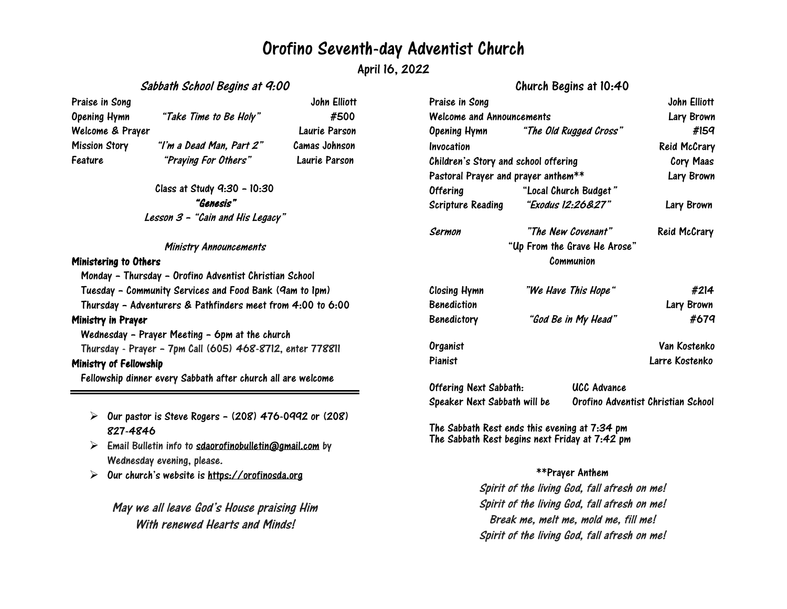## Orofino Seventh-day Adventist Church

April 16, 2022

## Sabbath School Begins at 9:00

Praise in Song The Song Services of the Song John Elliott Opening Hymn "Take Time to Be Holy" #500 Welcome & Prayer Laurie Parson Mission Story "I'm <sup>a</sup> Dead Man, Part 2" Camas Johnson Feature "Praying For Others" Laurie Parson

> Class at Study 9:30 – 10:30 "Genesis" Lesson <sup>3</sup> – "Cain and His Legacy"

#### Ministry Announcements

### Ministering to Others

Monday – Thursday – Orofino Adventist Christian School Tuesday – Community Services and Food Bank (9am to 1pm) Thursday – Adventurers & Pathfinders meet from 4:00 to 6:00 Ministry in Prayer Wednesday – Prayer Meeting – 6pm at the church Thursday - Prayer – 7pm Call (605) 468-8712, enter 778811 Ministry of Fellowship Fellowship dinner every Sabbath after church all are welcome

- $\triangleright$  Our pastor is Steve Rogers (208) 476-0992 or (208) 827-4846
- $\triangleright$  Email Bulletin info to [sdaorofinobulletin@gmail.com](mailto:sdaorofinobulletin@gmail.com) by Wednesday evening, please.
- $\triangleright$ Our church's website is [https://orofinosda.org](https://orofinosda.org/)

May we all leave God's House praising Him With renewed Hearts and Minds!

## Church Begins at 10:40

| Praise in Song                                                              |                     |                                    | John Elliott        |
|-----------------------------------------------------------------------------|---------------------|------------------------------------|---------------------|
| Welcome and Announcements                                                   |                     |                                    | Lary Brown          |
| Opening Hymn "The Old Rugged Cross"                                         |                     |                                    | #159                |
| Invocation                                                                  |                     |                                    | <b>Reid McCrary</b> |
| Children's Story and school offering<br>Pastoral Prayer and prayer anthem** |                     |                                    | Cory Maas           |
|                                                                             |                     |                                    | Lary Brown          |
| <b>Offering</b>                                                             |                     | "Local Church Budget"              |                     |
| Scripture Reading                                                           |                     | "Exodus 12:26&27"                  | Lary Brown          |
| Sermon                                                                      | "The New Covenant"  |                                    | Reid McCrary        |
|                                                                             |                     | "Up From the Grave He Arose"       |                     |
|                                                                             |                     | Communion                          |                     |
| <b>Closing Hymn</b>                                                         | "We Have This Hope" |                                    | #214                |
| <b>Benediction</b>                                                          |                     |                                    | Lary Brown          |
| <b>Benedictory</b>                                                          | "God Be in My Head" |                                    | #679                |
| Organist                                                                    |                     |                                    | Van Kostenko        |
| Pianist                                                                     |                     |                                    | Larre Kostenko      |
| <b>Offering Next Sabbath:</b>                                               |                     | <b>UCC Advance</b>                 |                     |
| Speaker Next Sabbath will be                                                |                     | Orofino Adventist Christian School |                     |

The Sabbath Rest ends this evening at 7:34 pm The Sabbath Rest begins next Friday at 7:42 pm

### \*\*Prayer Anthem

Spirit of the living God, fall afresh on me! Spirit of the living God, fall afresh on me! Break me, melt me, mold me, fill me! Spirit of the living God, fall afresh on me!